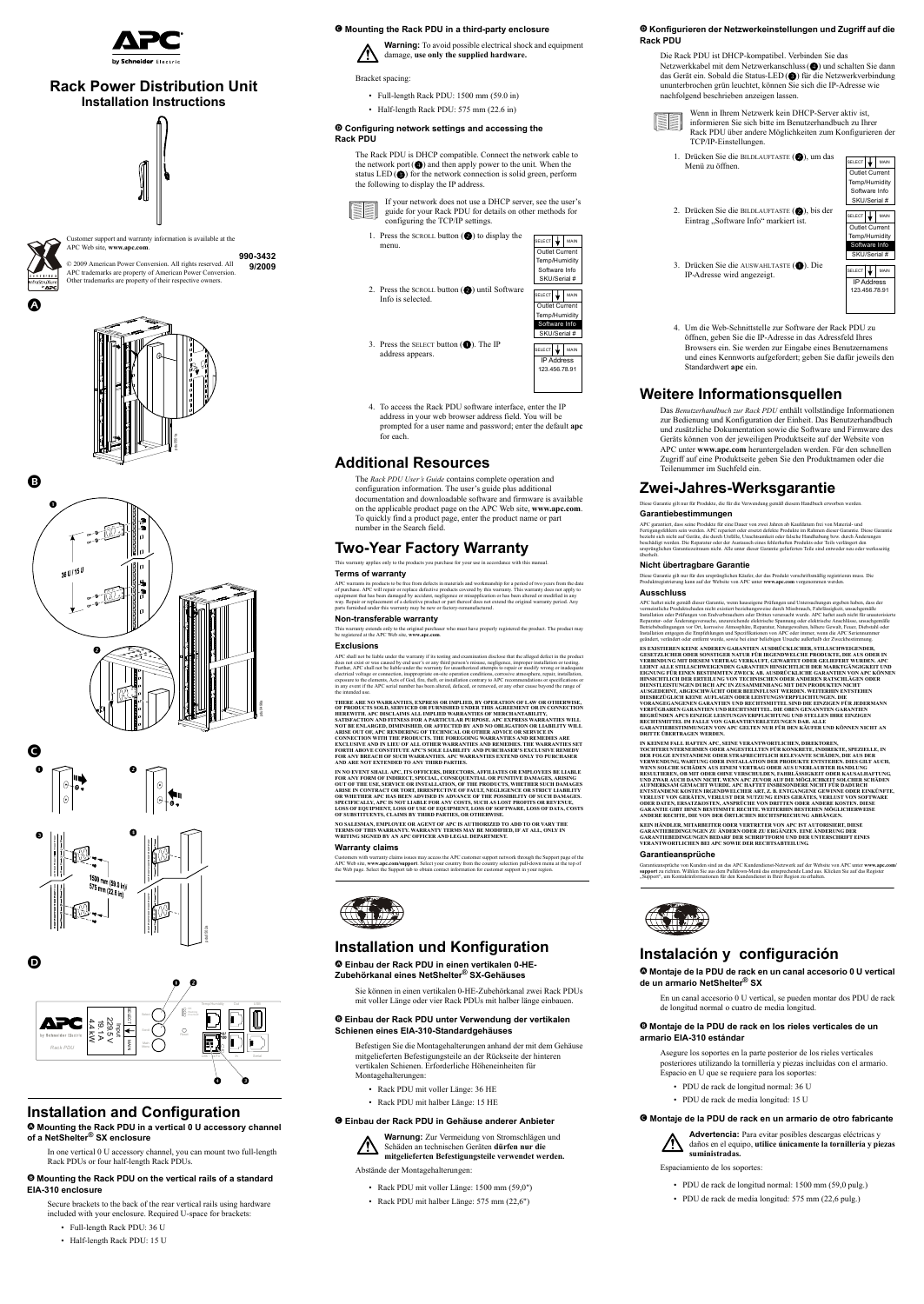

Customer support and warranty information is available at the APC Web site, **www.apc.com**.



 $\bm{\bm{\circ}}$ 

© 2009 American Power Conversion. All rights reserved. All APC trademarks are property of American Power Conversion. Other trademarks are property of their respective owners. **990-3432 9/2009**



# **Rack Power Distribution Unit Installation Instructions**

# **Installation and Configuration**

D **Mounting the Rack PDU in a vertical 0 U accessory channel of a NetShelter® SX enclosure**

- Full-length Rack PDU: 1500 mm (59.0 in)
- Half-length Rack PDU: 575 mm (22.6 in)

In one vertical 0 U accessory channel, you can mount two full-length Rack PDUs or four half-length Rack PDUs.

### E **Mounting the Rack PDU on the vertical rails of a standard EIA-310 enclosure**

Secure brackets to the back of the rear vertical rails using hardware included with your enclosure. Required U-space for brackets:

- Full-length Rack PDU: 36 U
- Half-length Rack PDU: 15 U
- 1. Press the SCROLL button  $\odot$  to display the menu.
- 2. Press the SCROLL button  $\odot$  until Software Info is selected.
- 3. Press the SELECT button  $\left( \bigodot \right)$ . The IP address appears.

#### F **Mounting the Rack PDU in a third-party enclosure**



Bracket spacing:

### G **Configuring network settings and accessing the Rack PDU**

The Rack PDU is DHCP compatible. Connect the network cable to the network port $(Q)$  and then apply power to the unit. When the status  $LED(\bigcircled{})$  for the network connection is solid green, perform the following to display the IP address.



If your network does not use a DHCP server, see the user's guide for your Rack PDU for details on other methods for configuring the TCP/IP settings.

4. To access the Rack PDU software interface, enter the IP address in your web browser address field. You will be prompted for a user name and password; enter the default **apc** for each.

# **Additional Resources**

s, Acts of God, fire, theft, or installation contrary to APC re in any event if the APC serial number has been altered, defaced, or removed, or any other cause beyond the range of the intended use.

The *Rack PDU User's Guide* contains complete operation and configuration information. The user's guide plus additional documentation and downloadable software and firmware is available on the applicable product page on the APC Web site, **www.apc.com**. To quickly find a product page, enter the product name or part number in the Search field.

# **Two-Year Factory Warranty**

This warranty applies only to the products you purchase for your use in accordance with this manual.

### **Terms of warranty**

APC warrants its products to be free from defects in materials and workmanship for a period of two years from the date of purchase. APC will repair or replace defective products covered by this warranty. This warranty does not apply to<br>equipment that has been damaged by accident, negligence or misapplication or has been altered or modified way. Repair or replacement of a defective product or part thereof does not extend the original warranty period. Any parts furnished under this warranty may be new or factory-remanufactured.

#### **Non-transferable warranty**

[This warranty extends only to the original purchaser who must have properly registered the product. The product may](http://www.apc.com)  [be registered at the APC Web site,](http://www.apc.com) **www.apc.com**.

#### **Exclusions**

- Rack PDU mit voller Länge: 1500 mm (59,0")
- Rack PDU mit halber Länge: 575 mm (22,6")

APC shall not be liable under the warranty if its testing and examination disclose that the alleged defect in the product does not exist or was caused by end user's or any third person's misuse, negligence, improper installation or testing.<br>Further, APC shall not be liable under the warranty for unauthorized attempts to repair or modify wrong electrical voltage or connection, inappropriate on-site operation conditions, corrosive atmosphere, repair, installation,

SELECT  $\bigvee$  MAIN Outlet Current Temp/Humidity Software Info SKU/Serial #

SELECT  $\bigcup$  MAIN

1. Drücken Sie die BILDLAUFTASTE  $(2)$ , um das Menü zu öffnen.

3. Drücken Sie die AUSWAHLTASTE ( $\bigcirc$ ). Die IP-Adresse wird angezeigt.

**THERE ARE NO WARRANTIES, EXPRESS OR IMPLIED, BY OPERATION OF LAW OR OTHERWISE, OF PRODUCTS SOLD, SERVICED OR FURNISHED UNDER THIS AGREEMENT OR IN CONNECTION HEREWITH. APC DISCLAIMS ALL IMPLIED WARRANTIES OF MERCHANTABILITY, SATISFACTION AND FITNESS FOR A PARTICULAR PURPOSE. APC EXPRESS WARRANTIES WILL NOT BE ENLARGED, DIMINISHED, OR AFFECTED BY AND NO OBLIGATION OR LIABILITY WILL ARISE OUT OF, APC RENDERING OF TECHNICAL OR OTHER ADVICE OR SERVICE IN CONNECTION WITH THE PRODUCTS. THE FOREGOING WARRANTIES AND REMEDIES ARE EXCLUSIVE AND IN LIEU OF ALL OTHER WARRANTIES AND REMEDIES. THE WARRANTIES SET FORTH ABOVE CONSTITUTE APC'S SOLE LIABILITY AND PURCHASER'S EXCLUSIVE REMEDY FOR ANY BREACH OF SUCH WARRANTIES. APC WARRANTIES EXTEND ONLY TO PURCHASER AND ARE NOT EXTENDED TO ANY THIRD PARTIES.** 

**IN NO EVENT SHALL APC, ITS OFFICERS, DIRECTORS, AFFILIATES OR EMPLOYEES BE LIABLE FOR ANY FORM OF INDIRECT, SPECIAL, CONSEQUENTIAL OR PUNITIVE DAMAGES, ARISING OUT OF THE USE, SERVICE OR INSTALLATION, OF THE PRODUCTS, WHETHER SUCH DAMAGES ARISE IN CONTRACT OR TORT, IRRESPECTIVE OF FAULT, NEGLIGENCE OR STRICT LIABILITY OR WHETHER APC HAS BEEN ADVISED IN ADVANCE OF THE POSSIBILITY OF SUCH DAMAGES. SPECIFICALLY, APC IS NOT LIABLE FOR ANY COSTS, SUCH AS LOST PROFITS OR REVENUE, LOSS OF EQUIPMENT, LOSS OF USE OF EQUIPMENT, LOSS OF SOFTWARE, LOSS OF DATA, COSTS OF SUBSTITUENTS, CLAIMS BY THIRD PARTIES, OR OTHERWISE.**

**NO SALESMAN, EMPLOYEE OR AGENT OF APC IS AUTHORIZED TO ADD TO OR VARY THE TERMS OF THIS WARRANTY. WARRANTY TERMS MAY BE MODIFIED, IF AT ALL, ONLY IN WRITING SIGNED BY AN APC OFFICER AND LEGAL DEPARTMENT.** 

#### **Warranty claims**

[Customers with warranty claims issues may access the APC customer support network through the Support page of the](http://www.apc.com/support)  [APC Web site,](http://www.apc.com/support) **www.apc.com/support**. Select your country from the country selection pull-down menu at the top of the Web page. Select the Support tab to obtain contact information for customer support in your region.



# **Installation und Konfiguration**

### D **Einbau der Rack PDU in einen vertikalen 0-HE-Zubehörkanal eines NetShelter® SX-Gehäuses**

Sie können in einen vertikalen 0-HE-Zubehörkanal zwei Rack PDUs mit voller Länge oder vier Rack PDUs mit halber länge einbauen.

# E **Einbau der Rack PDU unter Verwendung der vertikalen Schienen eines EIA-310-Standardgehäuses**

[Garantieansprüche von Kunden sind an das APC Kundendienst-Netzwerk auf der Website von APC unter](http://www.apc.com/support) **www.apc.com/** support zu richten. Wählen Sie aus dem Pulldown-Menü das entsprechende Land aus. Klicken Sie auf das Regi "Support", um Kontaktinformationen für den Kundendienst in Ihrer Region zu erhalten.



Befestigen Sie die Montagehalterungen anhand der mit dem Gehäuse mitgelieferten Befestigungsteile an der Rückseite der hinteren vertikalen Schienen. Erforderliche Höheneinheiten für Montagehalterungen:

- Rack PDU mit voller Länge: 36 HE
- Rack PDU mit halber Länge: 15 HE

### F **Einbau der Rack PDU in Gehäuse anderer Anbieter**



Schäden an technischen Geräten **dürfen nur die mitgelieferten Befestigungsteile verwendet werden.**

Abstände der Montagehalterungen:

|  | SELECT                         |  | MAIN |  |  |
|--|--------------------------------|--|------|--|--|
|  | Outlet Current                 |  |      |  |  |
|  | Temp/Humidity<br>Software Info |  |      |  |  |
|  |                                |  |      |  |  |
|  | SKU/Serial #                   |  |      |  |  |



|               | SKU/Serial # |      |  |  |  |
|---------------|--------------|------|--|--|--|
| <b>SELECT</b> | ↓            | MAIN |  |  |  |
|               | IP Address   |      |  |  |  |
| 123 456 78 91 |              |      |  |  |  |
|               |              |      |  |  |  |
|               |              |      |  |  |  |

#### G **Konfigurieren der Netzwerkeinstellungen und Zugriff auf die Rack PDU**

Die Rack PDU ist DHCP-kompatibel. Verbinden Sie das Netzwerkkabel mit dem Netzwerkanschluss( $\odot$ ) und schalten Sie dann das Gerät ein. Sobald die Status-LED (3) für die Netzwerkverbindung ununterbrochen grün leuchtet, können Sie sich die IP-Adresse wie nachfolgend beschrieben anzeigen lassen.



Wenn in Ihrem Netzwerk kein DHCP-Server aktiv ist, informieren Sie sich bitte im Benutzerhandbuch zu Ihrer Rack PDU über andere Möglichkeiten zum Konfigurieren der TCP/IP-Einstellungen.

4. Um die Web-Schnittstelle zur Software der Rack PDU zu öffnen, geben Sie die IP-Adresse in das Adressfeld Ihres Browsers ein. Sie werden zur Eingabe eines Benutzernamens und eines Kennworts aufgefordert; geben Sie dafür jeweils den Standardwert **apc** ein.

# **Weitere Informationsquellen**

Das *Benutzerhandbuch zur Rack PDU* enthält vollständige Informationen zur Bedienung und Konfiguration der Einheit. Das Benutzerhandbuch und zusätzliche Dokumentation sowie die Software und Firmware des Geräts können von der jeweiligen Produktseite auf der Website von APC unter **www.apc.com** heruntergeladen werden. Für den schnellen Zugriff auf eine Produktseite geben Sie den Produktnamen oder die Teilenummer im Suchfeld ein.

# **Zwei-Jahres-Werksgarantie**

Diese Garantie gilt nur für Produkte, die für die Verwendung gemäß diesem Handbuch erworben werden.

#### **Garantiebestimmungen**

APC garantiert, dass seine Produkte für eine Dauer von zwei Jahren ab Kaufdatum frei von Material- und Fertigungsfehlern sein werden. APC repariert oder ersetzt defekte Produkte im Rahmen dieser Garantie. Diese Garantie bezieht sich nicht auf Geräte, die durch Unfälle, Unachtsamkeit oder falsche Handhabung bzw. durch Änderungen beschädigt werden. Die Reparatur oder der Austausch eines fehlerhaften Produkts oder Teils verlängert den ursprünglichen Garantiezeitraum nicht. Alle unter dieser Garantie gelieferten Teile sind entweder neu oder werksseitig überholt.

#### **Nicht übertragbare Garantie**

[Diese Garantie gilt nur für den ursprünglichen Käufer, der das Produkt vorschriftsmäßig registrieren muss. Die](http://www.apc.com)  [Produktregistrierung kann auf der Website von APC unter](http://www.apc.com) **www.apc.com** vorgenommen werden.

#### **Ausschluss**

APC haftet nicht gemäß dieser Garantie, wenn hauseigene Prüfungen und Untersuchungen ergeben haben, dass der vermeintliche Produktschaden nicht existiert beziehungsweise durch Missbrauch, Fahrlässigkeit, unsachgemäße Installation oder Prüfungen von Endverbrauchern oder Dritten verursacht wurde. APC haftet auch nicht für unautorisierte Reparatur- oder Änderungsversuche, unzureichende elektrische Spannung oder elektrische Anschlüsse, unsachgemäße Betriebsbedingungen vor Ort, korrosive Atmosphäre, Reparatur, Naturgewalten, höhere Gewalt, Feuer, Diebstahl oder Installation entgegen die Empfehlungen und Spezifikationen von APC oder immer, wenn die APC Seriennum geändert, verändert oder entfernt wurde, sowie bei einer beliebigen Ursache außerhalb der Zweckbestimmung.

**ES EXISTIEREN KEINE ANDEREN GARANTIEN AUSDRÜCKLICHER, STILLSCHWEIGENDER, GESETZLICHER ODER SONSTIGER NATUR FÜR IRGENDWELCHE PRODUKTE, DIE AUS ODER IN VERBINDUNG MIT DIESEM VERTRAG VERKAUFT, GEWARTET ODER GELIEFERT WURDEN. APC LEHNT ALLE STILLSCHWEIGENDEN GARANTIEN HINSICHTLICH DER MARKTGÄNGIGKEIT UND EIGNUNG FÜR EINEN BESTIMMTEN ZWECK AB. AUSDRÜCKLICHE GARANTIEN VON APC KÖNNEN HINSICHTLICH DER ERTEILUNG VON TECHNISCHEN ODER ANDEREN RATSCHLÄGEN ODER** 

**DIENSTLEISTUNGEN DURCH APC IN ZUSAMMENHANG MIT DEN PRODUKTEN NICHT AUSGEDEHNT, ABGESCHWÄCHT ODER BEEINFLUSST WERDEN. WEITERHIN ENTSTEHEN DIESBEZÜGLICH KEINE AUFLAGEN ODER LEISTUNGSVERPFLICHTUNGEN. DIE VORANGEGANGENEN GARANTIEN UND RECHTSMITTEL SIND DIE EINZIGEN FÜR JEDERMANN VERFÜGBAREN GARANTIEN UND RECHTSMITTEL. DIE OBEN GENANNTEN GARANTIEN BEGRÜNDEN APCS EINZIGE LEISTUNGSVERPFLICHTUNG UND STELLEN IHRE EINZIGEN RECHTSMITTEL IM FALLE VON GARANTIEVERLETZUNGEN DAR. ALLE GARANTIEBESTIMMUNGEN VON APC GELTEN NUR FÜR DEN KÄUFER UND KÖNNEN NICHT AN DRITTE ÜBERTRAGEN WERDEN.** 

**IN KEINEM FALL HAFTEN APC, SEINE VERANTWORTLICHEN, DIREKTOREN, TOCHTERUNTERNEHMEN ODER ANGESTELLTEN FÜR KONKRETE, INDIREKTE, SPEZIELLE, IN DER FOLGE ENTSTANDENE ODER STRAFRECHTLICH RELEVANTE SCHÄDEN, DIE AUS DER VERWENDUNG, WARTUNG ODER INSTALLATION DER PRODUKTE ENTSTEHEN. DIES GILT AUCH, WENN SOLCHE SCHÄDEN AUS EINEM VERTRAG ODER AUS UNERLAUBTER HANDLUNG RESULTIEREN, OB MIT ODER OHNE VERSCHULDEN, FAHRLÄSSIGKEIT ODER KAUSALHAFTUNG, UND ZWAR AUCH DANN NICHT, WENN APC ZUVOR AUF DIE MÖGLICHKEIT SOLCHER SCHÄDEN AUFMERKSAM GEMACHT WURDE. APC HAFTET INSBESONDERE NICHT FÜR DADURCH ENTSTANDENE KOSTEN IRGENDWELCHER ART, Z. B. ENTGANGENE GEWINNE ODER EINKÜNFTE, VERLUST VON GERÄTEN, VERLUST DER NUTZUNG EINES GERÄTES, VERLUST VON SOFTWARE ODER DATEN, ERSATZKOSTEN, ANSPRÜCHE VON DRITTEN ODER ANDERE KOSTEN. DIESE GARANTIE GIBT IHNEN BESTIMMTE RECHTE. WEITERHIN BESTEHEN MÖGLICHERWEISE ANDERE RECHTE, DIE VON DER ÖRTLICHEN RECHTSPRECHUNG ABHÄNGEN.**

**KEIN HÄNDLER, MITARBEITER ODER VERTRETER VON APC IST AUTORISIERT, DIESE GARANTIEBEDINGUNGEN ZU ÄNDERN ODER ZU ERGÄNZEN. EINE ÄNDERUNG DER GARANTIEBEDINGUNGEN BEDARF DER SCHRIFTFORM UND DER UNTERSCHRIFT EINES VERANTWORTLICHEN BEI APC SOWIE DER RECHTSABTEILUNG.** 

#### **Garantieansprüche**

# **Instalación y configuración**

### D **Montaje de la PDU de rack en un canal accesorio 0 U vertical de un armario NetShelter® SX**

En un canal accesorio 0 U vertical, se pueden montar dos PDU de rack de longitud normal o cuatro de media longitud.

### E **Montaje de la PDU de rack en los rieles verticales de un armario EIA-310 estándar**

Asegure los soportes en la parte posterior de los rieles verticales posteriores utilizando la tornillería y piezas incluidas con el armario. Espacio en U que se requiere para los soportes:

- PDU de rack de longitud normal: 36 U
- PDU de rack de media longitud: 15 U

### F **Montaje de la PDU de rack en un armario de otro fabricante**



**Advertencia:** Para evitar posibles descargas eléctricas y daños en el equipo, **utilice únicamente la tornillería y piezas suministradas.**

Espaciamiento de los soportes:

- PDU de rack de longitud normal: 1500 mm (59,0 pulg.)
- PDU de rack de media longitud: 575 mm (22,6 pulg.)



2. Drücken Sie die BILDLAUFTASTE (2), bis der Eintrag "Software Info" markiert ist.









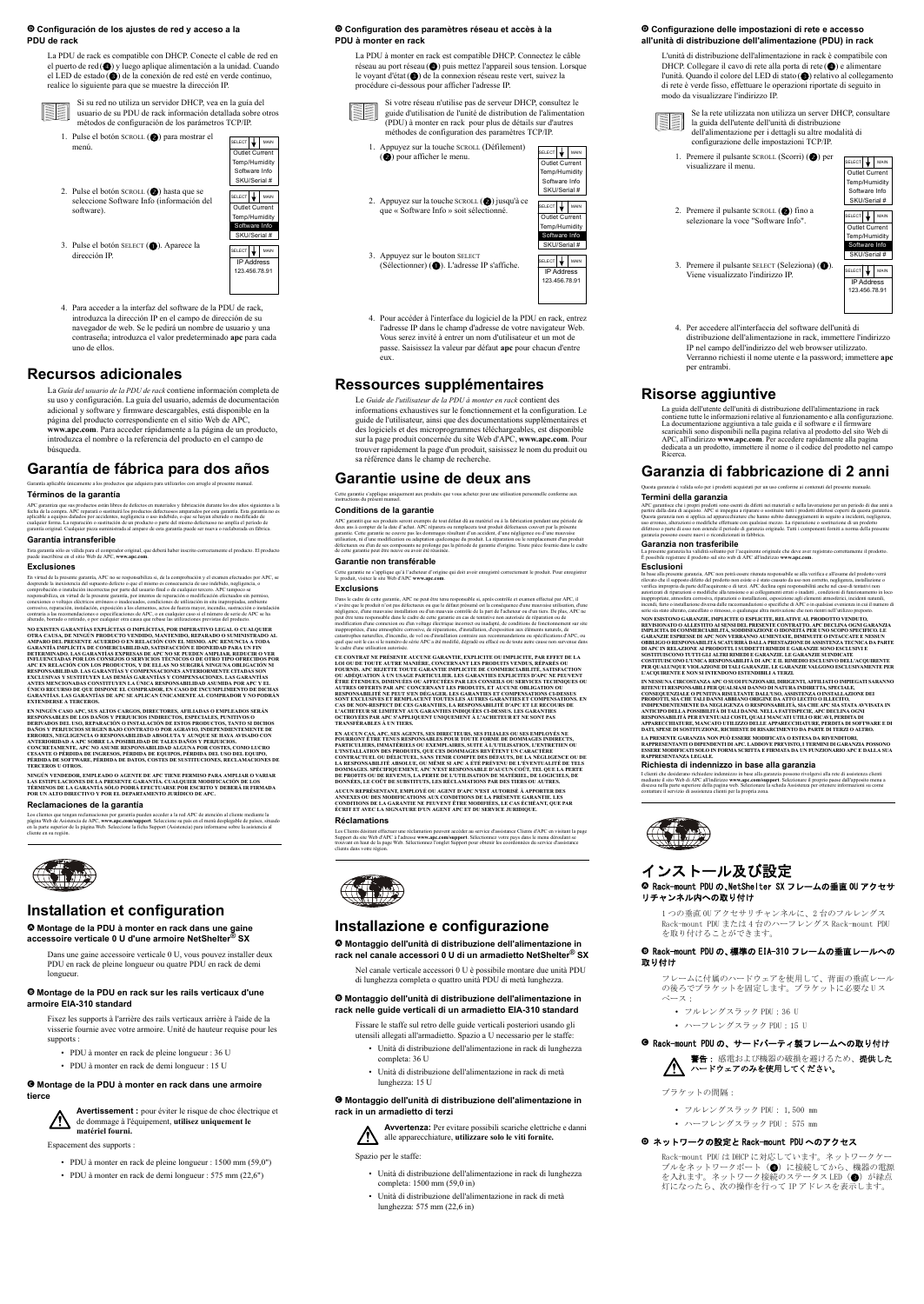# G **Configuración de los ajustes de red y acceso a la PDU de rack**

La PDU de rack es compatible con DHCP. Conecte el cable de red en el puerto de red  $\left($   $\bullet$ ) y luego aplique alimentación a la unidad. Cuando el LED de estado  $\odot$ ) de la conexión de red esté en verde continuo, realice lo siguiente para que se muestre la dirección IP.



- 1. Pulse el botón SCROLL  $(2)$  para mostrar el menú.
- 2. Pulse el botón SCROLL  $(2)$  hasta que se seleccione Software Info (información del software).
- 3. Pulse el botón SELECT ( $\bullet$ ). Aparece la dirección IP.

Si su red no utiliza un servidor DHCP, vea en la guía del usuario de su PDU de rack información detallada sobre otros métodos de configuración de los parámetros TCP/IP.

4. Para acceder a la interfaz del software de la PDU de rack, introduzca la dirección IP en el campo de dirección de su navegador de web. Se le pedirá un nombre de usuario y una contraseña; introduzca el valor predeterminado **apc** para cada uno de ellos.

# **Recursos adicionales**

En virtud de la presente garantía, APC no se responsabiliza si, de la comprobación y el examen efectuados por APC, se desprende la inexistencia del supuesto defecto o que el mismo es consecuencia de uso indebido, negligencia, comprobación o instalación incorrectas por parte del usuario final o de cualquier tercero. APC tampoco se responsabiliza, en virtud de la presente garantía, por intentos de reparación o modificación efectuados sin permiso, conexiones o voltajes eléctricos erróneos o inadecuados, condiciones de utilización in situ inapropiadas, ambiente corrosivo, reparación, instalación, exposición a los elementos, actos de fuerza mayor, incendio, sustracción o instalación contraria a las recomendaciones o especificaciones de APC, o en cualquier caso si el número de serie de APC se ha alterado, borrado o retirado, o por cualquier otra causa que rebase las utilizaciones previstas del producto.

La *Guía del usuario de la PDU de rack* contiene información completa de su uso y configuración. La guía del usuario, además de documentación adicional y software y firmware descargables, está disponible en la página del producto correspondiente en el sitio Web de APC, **www.apc.com**. Para acceder rápidamente a la página de un producto, introduzca el nombre o la referencia del producto en el campo de búsqueda.

# **Garantía de fábrica para dos años**

Garantía aplicable únicamente a los productos que adquiera para utilizarlos con arreglo al presente manual.

### **Términos de la garantía**

**NO EXISTEN GARANTÍAS EXPLÍCITAS O IMPLÍCITAS, POR IMPERATIVO LEGAL O CUALQUIER OTRA CAUSA, DE NINGÚN PRODUCTO VENDIDO, MANTENIDO, REPARADO O SUMINISTRADO AL AMPARO DEL PRESENTE ACUERDO O EN RELACIÓN CON EL MISMO. APC RENUNCIA A TODA GARANTÍA IMPLÍCITA DE COMERCIABILIDAD, SATISFACCIÓN E IDONEIDAD PARA UN FIN DETERMINADO. LAS GARANTÍAS EXPRESAS DE APC NO SE PUEDEN AMPLIAR, REDUCIR O VER INFLUENCIADAS POR LOS CONSEJOS O SERVICIOS TÉCNICOS O DE OTRO TIPO OFRECIDOS POR APC EN RELACIÓN CON LOS PRODUCTOS, Y DE ELLAS NO SURGIRÁ NINGUNA OBLIGACIÓN NI RESPONSABILIDAD. LAS GARANTÍAS Y COMPENSACIONES ANTERIORMENTE CITADAS SON EXCLUSIVAS Y SUSTITUYEN LAS DEMÁS GARANTÍAS Y COMPENSACIONES. LAS GARANTÍAS ANTES MENCIONADAS CONSTITUYEN LA ÚNICA RESPONSABILIDAD ASUMIDA POR APC Y EL ÚNICO RECURSO DE QUE DISPONE EL COMPRADOR, EN CASO DE INCUMPLIMIENTO DE DICHAS GARANTÍAS. LAS GARANTÍAS DE APC SE APLICAN ÚNICAMENTE AL COMPRADOR Y NO PODRÁN EXTENDERSE A TERCEROS** 

APC garantiza que sus productos están libres de defectos en materiales y fabricación durante los dos años siguientes a la fecha de la compra. APC reparará o sustituirá los productos defectuosos amparados por esta garantía. Esta garantía no es aplicable a equipos dañados por accidentes, negligencia o uso indebido, o que se hayan alterado o modificado de cualquier forma. La reparación o sustitución de un producto o parte del mismo defectuoso no amplía el período de garantía original. Cualquier pieza suministrada al amparo de esta garantía puede ser nueva o reelaborada en fábrica.

#### **Garantía intransferible**

[Esta garantía sólo es válida para el comprador original, que deberá haber inscrito correctamente el producto. El producto](http://www.apc.com)  [puede inscribirse en el sitio Web de APC,](http://www.apc.com) **www.apc.com**.

#### **Exclusiones**

 $SELECT$  MAIN Outlet Current Temp/Humidity Software Info

1. Appuyez sur la touche SCROLL (Défilement) (2) pour afficher le menu.

2. Appuyez sur la touche SCROLL  $(2)$  jusqu'à ce que « Software Info » soit sélectionné.

 $(Sélectionner)$  ( $\bigodot$ ). L'adresse IP s'affiche.

**EN NINGÚN CASO APC, SUS ALTOS CARGOS, DIRECTORES, AFILIADAS O EMPLEADOS SERÁN RESPONSABLES DE LOS DAÑOS Y PERJUICIOS INDIRECTOS, ESPECIALES, PUNITIVOS O DERIVADOS DEL USO, REPARACIÓN O INSTALACIÓN DE ESTOS PRODUCTOS, TANTO SI DICHOS DAÑOS Y PERJUICIOS SURGEN BAJO CONTRATO O POR AGRAVIO, INDEPENDIENTEMENTE DE ERRORES, NEGLIGENCIA O RESPONSABILIDAD ABSOLUTA Y AUNQUE SE HAYA AVISADO CON ANTERIORIDAD A APC SOBRE LA POSIBILIDAD DE TALES DAÑOS Y PERJUICIOS. CONCRETAMENTE, APC NO ASUME RESPONSABILIDAD ALGUNA POR COSTES, COMO LUCRO CESANTE O PÉRDIDA DE INGRESOS, PÉRDIDA DE EQUIPOS, PÉRDIDA DEL USO DEL EQUIPO, PÉRDIDA DE SOFTWARE, PÉRDIDA DE DATOS, COSTES DE SUSTITUCIONES, RECLAMACIONES DE TERCEROS U OTROS.**

**NINGÚN VENDEDOR, EMPLEADO O AGENTE DE APC TIENE PERMISO PARA AMPLIAR O VARIAR LAS ESTIPULACIONES DE LA PRESENTE GARANTÍA. CUALQUIER MODIFICACIÓN DE LOS TÉRMINOS DE LA GARANTÍA SÓLO PODRÁ EFECTUARSE POR ESCRITO Y DEBERÁ IR FIRMADA POR UN ALTO DIRECTIVO Y POR EL DEPARTAMENTO JURÍDICO DE APC.** 

#### **Reclamaciones de la garantía**

[Los clientes que tengan reclamaciones por garantía pueden acceder a la red APC de atención al cliente mediante la](http://www.apc.com/support)  [página Web de Asistencia de APC,](http://www.apc.com/support) www.**apc.com/support**. Seleccione su país en el menú desplegable de países, situado<br>en la parte superior de la página Web. Seleccione la ficha Support (Asistencia) para informarse sobre la cliente en su región.



# **Installation et configuration**

### D **Montage de la PDU à monter en rack dans une gaine accessoire verticale 0 U d'une armoire NetShelter® SX**

Dans une gaine accessoire verticale 0 U, vous pouvez installer deux PDU en rack de pleine longueur ou quatre PDU en rack de demi longueur.

### E **Montage de la PDU en rack sur les rails verticaux d'une armoire EIA-310 standard**

Fixez les supports à l'arrière des rails verticaux arrière à l'aide de la visserie fournie avec votre armoire. Unité de hauteur requise pour les supports :

- PDU à monter en rack de pleine longueur : 36 U
- PDU à monter en rack de demi longueur : 15 U

### F **Montage de la PDU à monter en rack dans une armoire tierce**



**Avertissement :** pour éviter le risque de choc électrique et de dommage à l'équipement, **utilisez uniquement le matériel fourni.**

Espacement des supports :

- PDU à monter en rack de pleine longueur : 1500 mm (59,0")
- PDU à monter en rack de demi longueur : 575 mm (22,6")





123.456.78.91

# G **Configuration des paramètres réseau et accès à la PDU à monter en rack**

La PDU à monter en rack est compatible DHCP. Connectez le câble réseau au port réseau ( $\bullet$ ) puis mettez l'appareil sous tension. Lorsque le voyant d'état ( $\bullet$ ) de la connexion réseau reste vert, suivez la procédure ci-dessous pour afficher l'adresse IP.



Si votre réseau n'utilise pas de serveur DHCP, consultez le guide d'utilisation de l'unité de distribution de l'alimentation (PDU) à monter en rack pour plus de détails sur d'autres méthodes de configuration des paramètres TCP/IP.

> 1. Premere il pulsante SCROLL (Scorri) (2) per visualizzare il menu.

2. Premere il pulsante SCROLL  $(2)$  fino a selezionare la voce "Software Info".

3. Premere il pulsante SELECT (Seleziona) ( $\bigcirc$ ). Viene visualizzato l'indirizzo IP.

3. Appuyez sur le bouton SELECT

# **Ressources supplémentaires**

Le *Guide de l'utilisateur de la PDU à monter en rack* contient des informations exhaustives sur le fonctionnement et la configuration. Le guide de l'utilisateur, ainsi que des documentations supplémentaires et des logiciels et des microprogrammes téléchargeables, est disponible sur la page produit concernée du site Web d'APC, **www.apc.com**. Pour trouver rapidement la page d'un produit, saisissez le nom du produit ou sa référence dans le champ de recherche.

> APC garantisce che i propri prodotti sono esenti da difetti nei materiali e nella lavorazione per un periodo di due anni a partire dalla data di acquisto. APC si impegna a riparare o sostituire tutti i prodotti difettosi coperti da questa garanzia. Questa garanzia non si applica ad apparecchiature che hanno subito danneggiamenti in seguito a incidenti, negligenza, uso erroneo, alterazioni o modifiche effettuate con qualsiasi mezzo. La riparazione o sostituzione di un prodotto difettoso o parte di esso non estende il periodo di garanzia originale. Tutti i componenti forniti a norma della presente garanzia possono essere nuovi o ricondizionati in fabbrica.

In base alla presente garanzia, APC non potrà essere ritenuta responsabile se alla verifica e all'esame del prodotto verrà rilevato che il supposto difetto del prodotto non esiste o è stato causato da uso non corretto, negligenza, installazione o verifica impropria da parte dell'acquirente o di terzi. APC declina ogni responsabilità anche nel caso di tentativi non autorizzati di riparazioni o modifiche alla tensione o ai collegamenti errati o inadatti , condizioni di funzionamento in loco inappropriate, atmosfera corrosiva, riparazioni o installazioni, esposizione agli elementi atmosferici, incidenti naturali, incendi, furto o installazione diversa dalle raccomandazioni o specifiche di APC o in qualsiasi evenienza in cui il numero di serie sia stato alterato, cancellato o rimosso, o qualunque altra motivazione che non rientri nell'utilizzo prepo

# **Garantie usine de deux ans**

Cette garantie s'applique uniquement aux produits que vous achetez pour une utilisation personnelle conforme aux instructions du présent manuel.

#### **Conditions de la garantie**

APC garantit que ses produits seront exempts de tout défaut dû au matériel ou à la fabrication pendant une période de deux ans à compter de la date d'achat. APC réparera ou remplacera tout produit défectueux couvert par la présente garantie. Cette garantie ne couvre pas les dommages résultant d'un accident, d'une négligence ou d'une mauvaise utilisation, ni d'une modification ou adaptation quelconque du produit. La réparation ou le remplacement d'un produit défectueux ou d'un de ses composants ne prolonge pas la période de garantie d'origine. Toute pièce fournie dans le cadre de cette garantie peut être neuve ou avoir été réusinée.

#### **Garantie non transférable**

[Cette garantie ne s'applique qu'à l'acheteur d'origine qui doit avoir enregistré correctement le produit. Pour enregistrer](http://www.apc.com)  [le produit, visitez le site Web d'APC](http://www.apc.com) **www.apc.com**.

#### **Exclusions**

Dans le cadre de cette garantie, APC ne peut être tenu responsable si, après contrôle et examen effectué par APC, il s'avère que le produit n'est pas défectueux ou que le défaut présumé est la conséquence d'une mauvaise utilisation, d'une négligence, d'une mauvaise installation ou d'un mauvais contrôle de la part de l'acheteur ou d'un tiers. De plus, APC ne peut être tenu responsable dans le cadre de cette garantie en cas de tentative non autorisée de réparation ou de modification d'une connexion ou d'un voltage électrique incorrect ou inadapté, de conditions de fonctionnement sur site inappropriées, d'une atmosphère corrosive, de réparations, d'installation, d'exposition aux éléments naturels, de catastrophes naturelles, d'incendie, de vol ou d'installation contraire aux recommandations ou spécifications d'APC, ou quel que soit le cas si le numéro de série APC a été modifié, dégradé ou effacé ou de toute autre cause non survenue dans le cadre d'une utilisation autorisée.

 $SELECT$   $\downarrow$  MAIN Outlet Current Temp/Humidity Software Info SKU/Serial #

|  | SELECT                        |  | MAIN |  |  |
|--|-------------------------------|--|------|--|--|
|  | <b>Outlet Current</b>         |  |      |  |  |
|  | Temp/Humidity                 |  |      |  |  |
|  | Software Info<br>SKU/Serial # |  |      |  |  |
|  |                               |  |      |  |  |

 $\overline{\phantom{0}}$ 

| SKU/Serial #                |              |      |  |  |
|-----------------------------|--------------|------|--|--|
| <b>SELECT</b>               | $\downarrow$ | MAIN |  |  |
| IP Address<br>123 456 78 91 |              |      |  |  |
|                             |              |      |  |  |

**CE CONTRAT NE PRÉSENTE AUCUNE GARANTIE, EXPLICITE OU IMPLICITE, PAR EFFET DE LA LOI OU DE TOUTE AUTRE MANIÈRE, CONCERNANT LES PRODUITS VENDUS, RÉPARÉS OU FOURNIS. APC REJETTE TOUTE GARANTIE IMPLICITE DE COMMERCIABILITÉ, SATISFACTION OU ADÉQUATION À UN USAGE PARTICULIER. LES GARANTIES EXPLICITES D'APC NE PEUVENT ÊTRE ÉTENDUES, DIMINUÉES OU AFFECTÉES PAR LES CONSEILS OU SERVICES TECHNIQUES OU AUTRES OFFERTS PAR APC CONCERNANT LES PRODUITS, ET AUCUNE OBLIGATION OU RESPONSABILITÉ NE PEUT S'EN DÉGAGER. LES GARANTIES ET COMPENSATIONS CI-DESSUS SONT EXCLUSIVES ET REMPLACENT TOUTES LES AUTRES GARANTIES ET COMPENSATIONS. EN CAS DE NON-RESPECT DE CES GARANTIES, LA RESPONSABILITÉ D'APC ET LE RECOURS DE L'ACHETEUR SE LIMITENT AUX GARANTIES INDIQUÉES CI-DESSUS. LES GARANTIES OCTROYÉES PAR APC S'APPLIQUENT UNIQUEMENT À L'ACHETEUR ET NE SONT PAS TRANSFÉRABLES À UN TIERS.** 

- Outlet Current Temp/Humidity Software Info SKU/Serial #  $SELECT$  MAIN IP Address 123.456.78.91
- 4. Pour accéder à l'interface du logiciel de la PDU en rack, entrez l'adresse IP dans le champ d'adresse de votre navigateur Web. Vous serez invité à entrer un nom d'utilisateur et un mot de passe. Saisissez la valeur par défaut **apc** pour chacun d'entre eux.

**EN AUCUN CAS, APC, SES AGENTS, SES DIRECTEURS, SES FILIALES OU SES EMPLOYÉS NE POURRONT ÊTRE TENUS RESPONSABLES POUR TOUTE FORME DE DOMMAGES INDIRECTS, PARTICULIERS, IMMATÉRIELS OU EXEMPLAIRES, SUITE À L'UTILISATION, L'ENTRETIEN OU L'INSTALLATION DES PRODUITS, QUE CES DOMMAGES REVÊTENT UN CARACTÈRE CONTRACTUEL OU DÉLICTUEL, SANS TENIR COMPTE DES DÉFAUTS, DE LA NÉGLIGENCE OU DE LA RESPONSABILITÉ ABSOLUE, OU MÊME SI APC A ÉTÉ PRÉVENU DE L'ÉVENTUALITÉ DE TELS DOMMAGES. SPÉCIFIQUEMENT, APC N'EST RESPONSABLE D'AUCUN COÛT, TEL QUE LA PERTE DE PROFITS OU DE REVENUS, LA PERTE DE L'UTILISATION DE MATÉRIEL, DE LOGICIELS, DE DONNÉES, LE COÛT DE SUBSTITUTS, LES RÉCLAMATIONS PAR DES TIERS OU AUTRES.**

**AUCUN REPRÉSENTANT, EMPLOYÉ OU AGENT D'APC N'EST AUTORISÉ À APPORTER DES ANNEXES OU DES MODIFICATIONS AUX CONDITIONS DE LA PRÉSENTE GARANTIE. LES CONDITIONS DE LA GARANTIE NE PEUVENT ÊTRE MODIFIÉES, LE CAS ÉCHÉANT, QUE PAR ÉCRIT ET AVEC LA SIGNATURE D'UN AGENT APC ET DU SERVICE JURIDIQUE.** 

#### **Réclamations**

[Les Clients désirant effectuer une réclamation peuvent accéder au service d'assistance Clients d'APC en visitant la page](http://www.apc.com/support)  [Support du site Web d'APC à l'adresse](http://www.apc.com/support) **www.apc.com/support**. Sélectionnez votre pays dans le menu déroulant se trouvant en haut de la page Web. Sélectionnez l'onglet Support pour obtenir les coordonnées du service d'assistance clients dans votre région.



# **Installazione e configurazione**

# D **Montaggio dell'unità di distribuzione dell'alimentazione in rack nel canale accessori 0 U di un armadietto NetShelter® SX**

Nel canale verticale accessori 0 U è possibile montare due unità PDU di lunghezza completa o quattro unità PDU di metà lunghezza.

### E **Montaggio dell'unità di distribuzione dell'alimentazione in rack nelle guide verticali di un armadietto EIA-310 standard**

Fissare le staffe sul retro delle guide verticali posteriori usando gli utensili allegati all'armadietto. Spazio a U necessario per le staffe:

- Unità di distribuzione dell'alimentazione in rack di lunghezza completa: 36 U
- Unità di distribuzione dell'alimentazione in rack di metà lunghezza: 15 U

### F **Montaggio dell'unità di distribuzione dell'alimentazione in rack in un armadietto di terzi**



**Avvertenza:** Per evitare possibili scariche elettriche e danni alle apparecchiature, **utilizzare solo le viti fornite.**

### Spazio per le staffe:

- Unità di distribuzione dell'alimentazione in rack di lunghezza completa: 1500 mm (59,0 in)
- Unità di distribuzione dell'alimentazione in rack di metà lunghezza: 575 mm (22,6 in)



### G **Configurazione delle impostazioni di rete e accesso all'unità di distribuzione dell'alimentazione (PDU) in rack**

L'unità di distribuzione dell'alimentazione in rack è compatibile con DHCP. Collegare il cavo di rete alla porta di rete  $\left( \bullet \right)$  e alimentare l'unità. Quando il colore del LED di stato ( $\bullet$ ) relativo al collegamento di rete è verde fisso, effettuare le operazioni riportate di seguito in modo da visualizzare l'indirizzo IP.



Se la rete utilizzata non utilizza un server DHCP, consultare la guida dell'utente dell'unità di distribuzione dell'alimentazione per i dettagli su altre modalità di configurazione delle impostazioni TCP/IP.

4. Per accedere all'interfaccia del software dell'unità di distribuzione dell'alimentazione in rack, immettere l'indirizzo IP nel campo dell'indirizzo del web browser utilizzato. Verranno richiesti il nome utente e la password; immettere **apc** per entrambi.

# **Risorse aggiuntive**

La guida dell'utente dell'unità di distribuzione dell'alimentazione in rack contiene tutte le informazioni relative al funzionamento e alla configurazione. La documentazione aggiuntiva a tale guida e il software e il firmware scaricabili sono disponibili nella pagina relativa al prodotto del sito Web di APC, all'indirizzo **www.apc.com**. Per accedere rapidamente alla pagina dedicata a un prodotto, immettere il nome o il codice del prodotto nel campo Ricerca.

# **Garanzia di fabbricazione di 2 anni**

Questa garanzia è valida solo per i prodotti acquistati per un uso conforme ai contenuti del presente manuale.

#### **Termini della garanzia**

#### **Garanzia non trasferibile**

[La presente garanzia ha validità soltanto per l'acquirente originale che deve aver registrato correttamente il prodotto.](http://www.apc.com)  [È possibile registrare il prodotto sul sito web di APC all'indirizzo](http://www.apc.com) **www.apc.com**.

#### **Esclusioni**

**NON ESISTONO GARANZIE, IMPLICITE O ESPLICITE, RELATIVE AL PRODOTTO VENDUTO, REVISIONATO O ALLESTITO AI SENSI DEL PRESENTE CONTRATTO. APC DECLINA OGNI GARANZIA IMPLICITA DI COMMERCIABILITÀ, SODDISFAZIONE O IDONEITÀ PER UNO SCOPO SPECIFICO. LE GARANZIE ESPRESSE DI APC NON VERRANNO AUMENTATE, DIMINUITE O INTACCATE E NESSUN OBBLIGO O RESPONSABILITÀ SCATURIRÀ DALLA PRESTAZIONE DI ASSISTENZA TECNICA DA PARTE DI APC IN RELAZIONE AI PRODOTTI. I SUDDETTI RIMEDI E GARANZIE SONO ESCLUSIVI E SOSTITUISCONO TUTTI GLI ALTRI RIMEDI E GARANZIE. LE GARANZIE SUINDICATE COSTITUISCONO L'UNICA RESPONSABILITÀ DI APC E IL RIMEDIO ESCLUSIVO DELL'ACQUIRENTE PER QUALUNQUE VIOLAZIONE DI TALI GARANZIE. LE GARANZIE VALGONO ESCLUSIVAMENTE PER L'ACQUIRENTE E NON SI INTENDONO ESTENDIBILI A TERZI.** 

**IN NESSUNA CIRCOSTANZA APC O SUOI FUNZIONARI, DIRIGENTI, AFFILIATI O IMPIEGATI SARANNO RITENUTI RESPONSABILI PER QUALSIASI DANNO DI NATURA INDIRETTA, SPECIALE, CONSEQUENZIALE O PUNITIVA RISULTANTE DALL'USO, ASSISTENZA O INSTALLAZIONE DEI PRODOTTI, SIA CHE TALI DANNI ABBIANO ORIGINE DA ATTO LECITO O ILLECITO, INDIPENDENTEMENTE DA NEGLIGENZA O RESPONSABILITÀ, SIA CHE APC SIA STATA AVVISATA IN ANTICIPO DELLA POSSIBILITÀ DI TALI DANNI. NELLA FATTISPECIE, APC DECLINA OGNI RESPONSABILITÀ PER EVENTUALI COSTI, QUALI MANCATI UTILI O RICAVI, PERDITA DI APPARECCHIATURE, MANCATO UTILIZZO DELLE APPARECCHIATURE, PERDITA DI SOFTWARE E DI DATI, SPESE DI SOSTITUZIONE, RICHIESTE DI RISARCIMENTO DA PARTE DI TERZI O ALTRO.**

**LA PRESENTE GARANZIA NON PUÒ ESSERE MODIFICATA O ESTESA DA RIVENDITORI, RAPPRESENTANTI O DIPENDENTI DI APC. LADDOVE PREVISTO, I TERMINI DI GARANZIA POSSONO ESSERE MODIFICATI SOLO IN FORMA SCRITTA E FIRMATA DA UN FUNZIONARIO APC E DALLA SUA RAPPRESENTANZA LEGALE.** 

#### **Richiesta di indennizzo in base alla garanzia**

[I clienti che desiderano richiedere indennizzo in base alla garanzia possono rivolgersi alla rete di assistenza clienti](http://www.apc.com/support)  [mediante il sito Web di APC all'indirizzo](http://www.apc.com/support) www.apc.com/support. Selezionare il proprio paese dall'apposito menu a<br>discesa nella parte superiore della pagina web. Selezionare la scheda Assistenza per ottenere informazioni su contattare il servizio di assistenza clienti per la propria zona.



# インストール及び設定

### D Rack-mount PDU の、NetShelter SX フレームの垂直 0U アクセサ リチャンネル内への取り付け

1 つの垂直 0U アクセサリチャンネルに、2 台のフルレングス Rack-mount PDU または 4 台のハーフレングス Rack-mount PDU を取り付けることができます。

### E Rack-mount PDU の、標準の EIA-310 フレームの垂直レールへの 取り付け

フレームに付属のハードウェアを使用して、背面の垂直レール の後ろでブラケットを固定します。 ブラケットに必要な U ス ペース:

- フルレングスラック PDU:36 U
- ハーフレングスラック PDU:15 U

# ● Rack-mount PDU の、サードパーティ製フレームへの取り付け



ブラケットの間隔:

- フルレングスラック PDU: 1,500 mm
- ハーフレングスラック PDU: 575 mm

# G ネットワークの設定と Rack-mount PDU へのアクセス

Rack-mount PDU は DHCP に対応しています。 ネットワークケー ブルをネットワークポート(●)に接続してから、機器の電源 を入れます。ネットワーク接続のステータス LED (2) が緑点 灯になったら、次の操作を行って IP アドレスを表示します。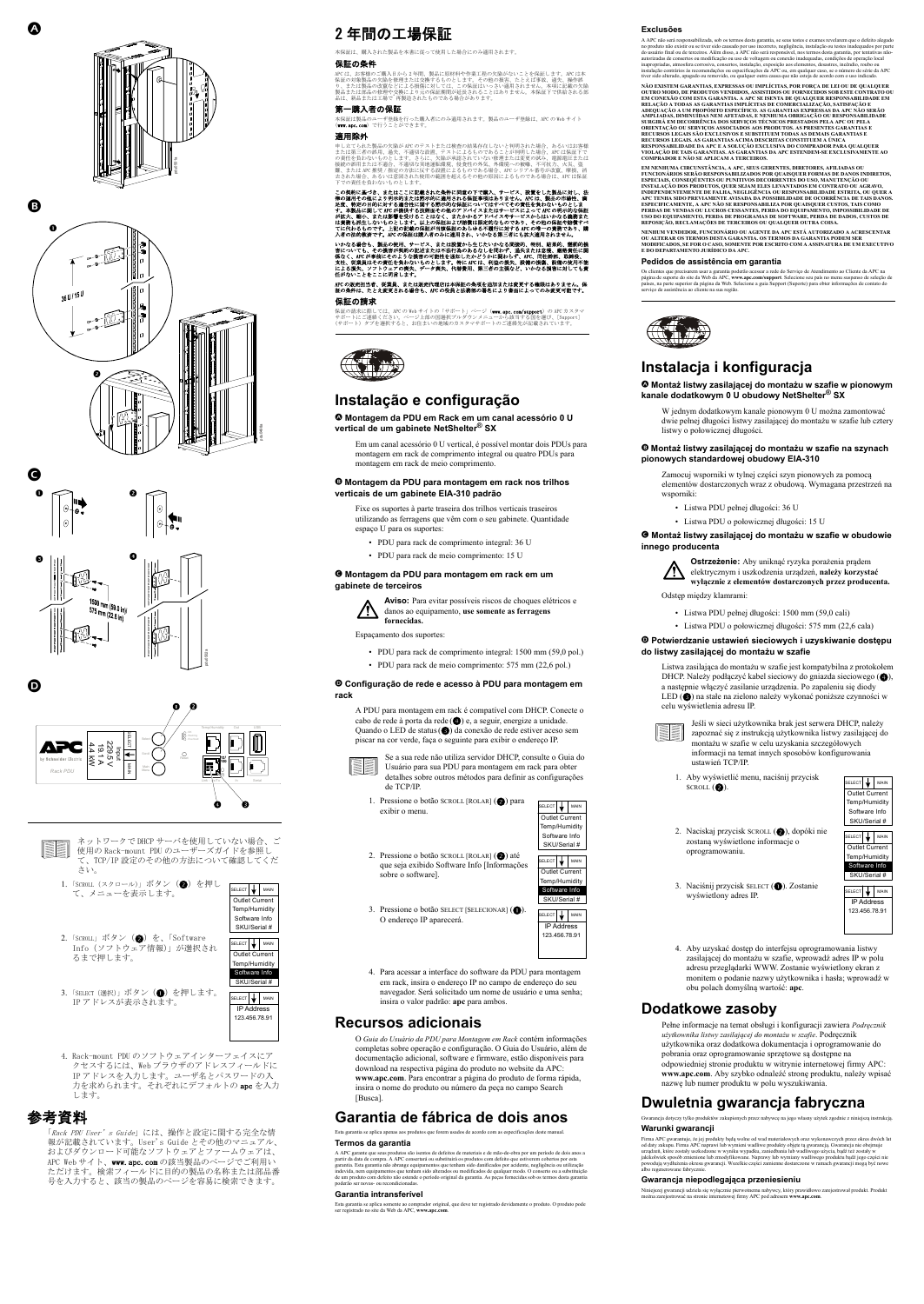



「Rack PDU User's Guide」には、操作と設定に関する完全な情 報が記載されています。 User's Guide とその他のマニュアル、 およびダウンロード可能なソフトウェアとファームウェアは、 APC Web サイト、www.apc.com の該当製品のページでご利用い ただけます。検索フィールドに目的の製品の名称または部品番 号を入力すると、該当の製品のページを容易に検索できます。



4. Rack-mount PDU のソフトウェアインターフェイスにア クセスするには、Web ブラウザのアドレスフィールドに IP アドレスを入力します。 ユーザ名とパスワードの入 力を求められます。それぞれにデフォルトの apc を入力 します。

# 参考資料

# 2 年間の工場保証

本保証は、購入された製品を本書に従って使用した場合にのみ適用されます。

#### 保証の条件

APC は、お客様のご購入日から 2 年間、製品に原材料や作業工程の欠陥がないことを保証します。 APC は本 保証の対象製品の欠陥を修理または交換するものとします。その他の損害、たとえば事故、過失、操作誤 り、または製品の改竄などによる損傷に対しては、この保証はいっさい適用されません。本項に記載の欠陥 製品または部品の修理や交換により元の保証期間が延長されることはありません。本保証下で供給される部 品は、新品または工場で-再製造されたものである場合があります。

いかなる場合も、製品の使用、サービス、または設置から生じたいかなる間接的、特別、結果的、懲罰的損<br>害についても、その損害が契約の記述または不法行為のあるなしを問わず、過失または怠慢、厳格責任に関<br>存なく、APCが事前にそのような損害の可能性を通知したかどうかに関わらず、PLV、同社幹部、取締役、<br>支社、従業員はその責任を負わないものとします。特に APC は、利益の損失、設備の損傷、設備の使用不能 による損失、ソフトウェアの喪失、データ喪失、代替費用、第三者の主張など、いかなる損害に対しても責 任がないことをここに明言します。

#### 第一購入者の保証

[本保証は製品のユーザ登録を行った購入者にのみ適用されます。 製品のユーザ登録は、APC の Web サイト](http://www.apc.com) [\(w](http://www.apc.com)ww.apc.com)で行うことができます。

[保証の請求に際しては、APC の Web サイトの「サポート」ページ\(](http://www.apc.com/support)**www.apc.com/support**)の APC カスタマ サポートにご連絡ください。ページ上部の国選択プルダウンメニューから該当する国を選び、 [Support] (サポート)タブを選択すると、お住まいの地域のカスタマサポートのご連絡先が記載されています。



#### 適用除外

申し立てられた製品の欠陥が APC のテストまたは検査の結果存在しないと判明された場合、あるいはお客様 または第三者の誤用、過失、不適切な設置、テストによるものであることが判明した場合、APC は保証下で の責任を負わないものとします。 さらに、欠陥が承認されていない修理または変更の試み、電源電圧または 接続の誤用または不適合、不適切な実地運転環境、侵食性の外気、外環境への被曝、不可抗力、火災、盗 難、または APC 推奨 / 指定の方法に反する設置によるものである場合、APC シリアル番号が改竄、摩損、消 去された場合、あるいは意図された使用の範囲を超えるその他の原因によるものである場合は、APC は保証 下での責任を負わないものとします。

この契約に基づき、またはここに記載された条件に同意の下で購入、サービス、設置をした製品に対し、法 律の運用その他により明示的または黙示的に適用される保証事項はありません。 APC は、製品の市場性、満 足度、特定の目的に対する適合性に関する黙示的な保証についてはすべてその責任を負わないものとしま<br>す。本製品に関してAPCが提供する技術面その他のアドバイスまたはサービスによってAPCの明示的な保証<br>が拡大、縮小、または影響を受けることはなく、またかかるアドバイスやサービスによってAPO他の保証や賠償すべ<br>は責務も派生しないものとします。以上の保証および賠償は限定的なものであり、その他の保証や賠償すべ てに代わるものです。上記の記載の保証が当該保証のあらゆる不履行に対する APC の唯一の責務であり、購 入者の法的救済です。 APC の保証は購入者のみに適用され、いかなる第三者にも拡大適用されません。

- 1. Pressione o botão SCROLL [ROLAR] (2) para exibir o menu.
	- que seja exibido Software Info [Informações SELECT **WAIN** Outlet Current Temp/Humidity Software Info SKU/Serial # SELECT **WAIN**
- 3. Pressione o botão SELECT [SELECIONAR] ( $\bigcirc$ ). O endereço IP aparecerá.

2. Pressione o botão SCROLL  $[ROLAR]$  (2) até

APC の販売担当者、従業員、または販売代理店は本保証の条項を追加または変更する権限はありません。 保 証の条件は、たとえ変更される場合も、APC の役員と法務部の署名により書面によってのみ変更可能です。

#### 保証の請求

# **Instalação e configuração**

D **Montagem da PDU em Rack em um canal acessório 0 U vertical de um gabinete NetShelter® SX**

Em um canal acessório 0 U vertical, é possível montar dois PDUs para montagem em rack de comprimento integral ou quatro PDUs para montagem em rack de meio comprimento.

# E **Montagem da PDU para montagem em rack nos trilhos verticais de um gabinete EIA-310 padrão**

Fixe os suportes à parte traseira dos trilhos verticais traseiros utilizando as ferragens que vêm com o seu gabinete. Quantidade espaço U para os suportes:

- PDU para rack de comprimento integral: 36 U
- PDU para rack de meio comprimento: 15 U

### F **Montagem da PDU para montagem em rack em um gabinete de terceiros**



**Aviso:** Para evitar possíveis riscos de choques elétricos e danos ao equipamento, **use somente as ferragens fornecidas.**

Espaçamento dos suportes:

- PDU para rack de comprimento integral: 1500 mm (59,0 pol.)
- PDU para rack de meio comprimento: 575 mm (22,6 pol.)

### G **Configuração de rede e acesso à PDU para montagem em rack**

A PDU para montagem em rack é compatível com DHCP. Conecte o cabo de rede à porta da rede ( $\bigcirc$ ) e, a seguir, energize a unidade. Quando o LED de status (<sup>2</sup>) da conexão de rede estiver aceso sem piscar na cor verde, faça o seguinte para exibir o endereço IP.



Se a sua rede não utiliza servidor DHCP, consulte o Guia do Usuário para sua PDU para montagem em rack para obter detalhes sobre outros métodos para definir as configurações de TCP/IP.

sobre o software].

4. Para acessar a interface do software da PDU para montagem em rack, insira o endereço IP no campo de endereço do seu navegador. Será solicitado um nome de usuário e uma senha; insira o valor padrão: **apc** para ambos.

# **Recursos adicionais**

O *Guia do Usuário da PDU para Montagem em Rack* contém informações completas sobre operação e configuração. O Guia do Usuário, além de documentação adicional, software e firmware, estão disponíveis para download na respectiva página do produto no website da APC: **www.apc.com**. Para encontrar a página do produto de forma rápida, insira o nome do produto ou número da peça no campo Search [Busca].

# **Garantia de fábrica de dois anos**

Esta garantia se aplica apenas aos produtos que forem usados de acordo com as especificações deste manual.

### **Termos da garantia**

A APC garante que seus produtos são isentos de defeitos de materiais e de mão-de-obra por um período de dois anos a partir da data de compra. A APC consertará ou substituirá os produtos com defeito que estiverem cobertos por esta garantia. Esta garantia não abrange equipamentos que tenham sido danificados por acidente, negligência ou utilização indevida, nem equipamentos que tenham sido alterados ou modificados de qualquer modo. O conserto ou a substituição de um produto com defeito não estende o período original da garantia. As peças fornecidas sob os termos desta garantia poderão ser novas- ou recondicionadas.

1. Aby wyświetlić menu, naciśnij przycisk  $SCROLL$  (2).

- 2. Naciskaj przycisk SCROLL (2), dopóki nie zostaną wyświetlone informacje o oprogramowaniu.
- 3. Naciśnij przycisk SELECT (<sup>1</sup>). Zostanie wyświetlony adres IP.

#### **Garantia intransferível**

[Esta garantia se aplica somente ao comprador original, que deve ter registrado devidamente o produto. O produto pode](http://www.apc.com)  [ser registrado no site da Web da APC,](http://www.apc.com) **www.apc.com**.



Firma APC gwarantuje, że jej produkty będą wolne od wad materiałowych oraz wykonawczych przez okres dwóch lat od daty zakupu. Firma APC naprawi lub wymieni wadliwe produkty objęte tą gwarancją. Gwarancja nie obejmuje urządzeń, które zostały uszkodzone w wyniku wypadku, zaniedbania lub wadliwego użycia, bądź też zostały w jakikolwiek sposób zmienione lub zmodyfikowane. Naprawy lub wymiany wadliwego produktu bądź jego części nie powodują wydłużenia okresu gwarancji. Wszelkie części zamienne dostarczone w ramach gwarancji mogą być nowe albo regenerowane fabrycz



#### **Exclusões**

 $SELECT$   $\downarrow$  MAIN Outlet Current Temp/Humidity Software Info SKU/Serial #

 $SELECT$   $\downarrow$  MAIN Outlet Current Temp/Humidity Software Info

A APC não será responsabilizada, sob os termos desta garantia, se seus testes e exames revelarem que o defeito alegado no produto não existir ou se tiver sido causado por uso incorreto, negligência, instalação ou testes inadequados por parte do usuário final ou de terceiros. Além disso, a APC não será responsável, nos termos desta garantia, por tentativas nãoautorizadas de consertos ou modificação ou uso de voltagem ou conexão inadequadas, condições de operação local inapropriadas, atmosfera corrosiva, consertos, instalação, exposição aos elementos, desastres, incêndio, roubo ou instalação contrários às recomendações ou especificações da APC ou, em qualquer caso, se o número de série da APC tiver sido alterado, apagado ou removido, ou qualquer outra causa que não esteja de acordo com o uso indicado.

**NÃO EXISTEM GARANTIAS, EXPRESSAS OU IMPLÍCITAS, POR FORÇA DE LEI OU DE QUALQUER OUTRO MODO, DE PRODUTOS VENDIDOS, ASSISTIDOS OU FORNECIDOS SOB ESTE CONTRATO OU EM CONEXÃO COM ESTA GARANTIA. A APC SE ISENTA DE QUALQUER RESPONSABILIDADE EM RELAÇÃO A TODAS AS GARANTIAS IMPLÍCITAS DE COMERCIALIZAÇÃO, SATISFAÇÃO E ADEQUAÇÃO A UM PROPÓSITO ESPECÍFICO. AS GARANTIAS EXPRESSAS DA APC NÃO SERÃO AMPLIADAS, DIMINUÍDAS NEM AFETADAS, E NENHUMA OBRIGAÇÃO OU RESPONSABILIDADE SURGIRÁ EM DECORRÊNCIA DOS SERVIÇOS TÉCNICOS PRESTADOS PELA APC OU PELA ORIENTAÇÃO OU SERVIÇOS ASSOCIADOS AOS PRODUTOS. AS PRESENTES GARANTIAS E RECURSOS LEGAIS SÃO EXCLUSIVOS E SUBSTITUEM TODAS AS DEMAIS GARANTIAS E RECURSOS LEGAIS. AS GARANTIAS ACIMA DESCRITAS CONSTITUEM A ÚNICA RESPONSABILIDADE DA APC E A SOLUÇÃO EXCLUSIVA DO COMPRADOR PARA QUALQUER VIOLAÇÃO DE TAIS GARANTIAS. AS GARANTIAS DA APC ESTENDEM-SE EXCLUSIVAMENTE AO COMPRADOR E NÃO SE APLICAM A TERCEIROS.** 

**EM NENHUMA CIRCUNSTÂNCIA, A APC, SEUS GERENTES, DIRETORES, AFILIADAS OU FUNCIONÁRIOS SERÃO RESPONSABILIZADOS POR QUAISQUER FORMAS DE DANOS INDIRETOS, ESPECIAIS, CONSEQÜENTES OU PUNITIVOS DECORRENTES DO USO, MANUTENÇÃO OU INSTALAÇÃO DOS PRODUTOS, QUER SEJAM ELES LEVANTADOS EM CONTRATO OU AGRAVO, INDEPENDENTEMENTE DE FALHA, NEGLIGÊNCIA OU RESPONSABILIDADE ESTRITA, OU QUER A APC TENHA SIDO PREVIAMENTE AVISADA DA POSSIBILIDADE DE OCORRÊNCIA DE TAIS DANOS. ESPECIFICAMENTE, A APC NÃO SE RESPONSABILIZA POR QUAISQUER CUSTOS, TAIS COMO PERDAS DE VENDAS OU LUCROS CESSANTES, PERDA DO EQUIPAMENTO, IMPOSSIBILIDADE DE USO DO EQUIPAMENTO, PERDA DE PROGRAMAS DE SOFTWARE, PERDA DE DADOS, CUSTOS DE REPOSIÇÃO, RECLAMAÇÕES DE TERCEIROS OU QUALQUER OUTRA COISA.**

**NENHUM VENDEDOR, FUNCIONÁRIO OU AGENTE DA APC ESTÁ AUTORIZADO A ACRESCENTAR OU ALTERAR OS TERMOS DESTA GARANTIA. OS TERMOS DA GARANTIA PODEM SER MODIFICADOS, SE FOR O CASO, SOMENTE POR ESCRITO COM A ASSINATURA DE UM EXECUTIVO E DO DEPARTAMENTO JURÍDICO DA APC.** 

#### **Pedidos de assistência em garantia**

[Os clientes que precisarem usar a garantia poderão acessar a rede do Serviço de Atendimento ao Cliente da APC na](http://www.apc.com/support)  [página de suporte do site da Web da APC,](http://www.apc.com/support) **www.apc.com/support**. Selecione seu país no menu suspenso de seleção de países, na parte superior da página da Web. Selecione a guia Support (Suporte) para obter informações de contato do serviço de assistência ao cliente na sua região.



# **Instalacja i konfiguracja**

D **Montaż listwy zasilającej do montażu w szafie w pionowym kanale dodatkowym 0 U obudowy NetShelter® SX**

W jednym dodatkowym kanale pionowym 0 U można zamontować dwie pełnej długości listwy zasilającej do montażu w szafie lub cztery listwy o połowicznej długości.

E **Montaż listwy zasilającej do montażu w szafie na szynach pionowych standardowej obudowy EIA-310**

Zamocuj wsporniki w tylnej części szyn pionowych za pomocą elementów dostarczonych wraz z obudową. Wymagana przestrzeń na wsporniki:

- Listwa PDU pełnej długości: 36 U
- Listwa PDU o połowicznej długości: 15 U

### F **Montaż listwy zasilającej do montażu w szafie w obudowie innego producenta**



**Ostrzeżenie:** Aby uniknąć ryzyka porażenia prądem elektrycznym i uszkodzenia urządzeń, **należy korzystać wyłącznie z elementów dostarczonych przez producenta.**

Odstęp między klamrami:

- Listwa PDU pełnej długości: 1500 mm (59,0 cali)
- Listwa PDU o połowicznej długości: 575 mm (22,6 cala)

### G **Potwierdzanie ustawień sieciowych i uzyskiwanie dostępu do listwy zasilającej do montażu w szafie**

Listwa zasilająca do montażu w szafie jest kompatybilna z protokołem DHCP. Należy podłączyć kabel sieciowy do gniazda sieciowego ( $\bullet$ a następnie włączyć zasilanie urządzenia. Po zapaleniu się diody LED (<sup>3</sup>) na stałe na zielono należy wykonać poniższe czynności w celu wyświetlenia adresu IP.

> Jeśli w sieci użytkownika brak jest serwera DHCP, należy zapoznać się z instrukcją użytkownika listwy zasilającej do montażu w szafie w celu uzyskania szczegółowych informacji na temat innych sposobów konfigurowania ustawień TCP/IP.

4. Aby uzyskać dostęp do interfejsu oprogramowania listwy zasilającej do montażu w szafie, wprowadź adres IP w polu adresu przeglądarki WWW. Zostanie wyświetlony ekran z monitem o podanie nazwy użytkownika i hasła; wprowadź w obu polach domyślną wartość: **apc**.

# **Dodatkowe zasoby**

Pełne informacje na temat obsługi i konfiguracji zawiera *Podręcznik użytkownika listwy zasilającej do montażu w szafie*. Podręcznik użytkownika oraz dodatkowa dokumentacja i oprogramowanie do pobrania oraz oprogramowanie sprzętowe są dostępne na odpowiedniej stronie produktu w witrynie internetowej firmy APC: **www.apc.com**. Aby szybko odnaleźć stronę produktu, należy wpisać nazwę lub numer produktu w polu wyszukiwania.

# **Dwuletnia gwarancja fabryczna**

Gwarancja dotyczy tylko produktów zakupionych przez nabywcę na jego własny użytek zgodnie z niniejszą instrukcją.

### **Warunki gwarancji**

### **Gwarancja niepodlegająca przeniesieniu**

Niniejszej gwarancji udziela się wyłą[cznie pierwotnemu nabywcy, który prawid](http://www.apc.com)łowo zarejestrował produkt. Produkt można zarejestrować [na stronie internetowej firmy APC pod adresem](http://www.apc.com) **www.apc.com**.